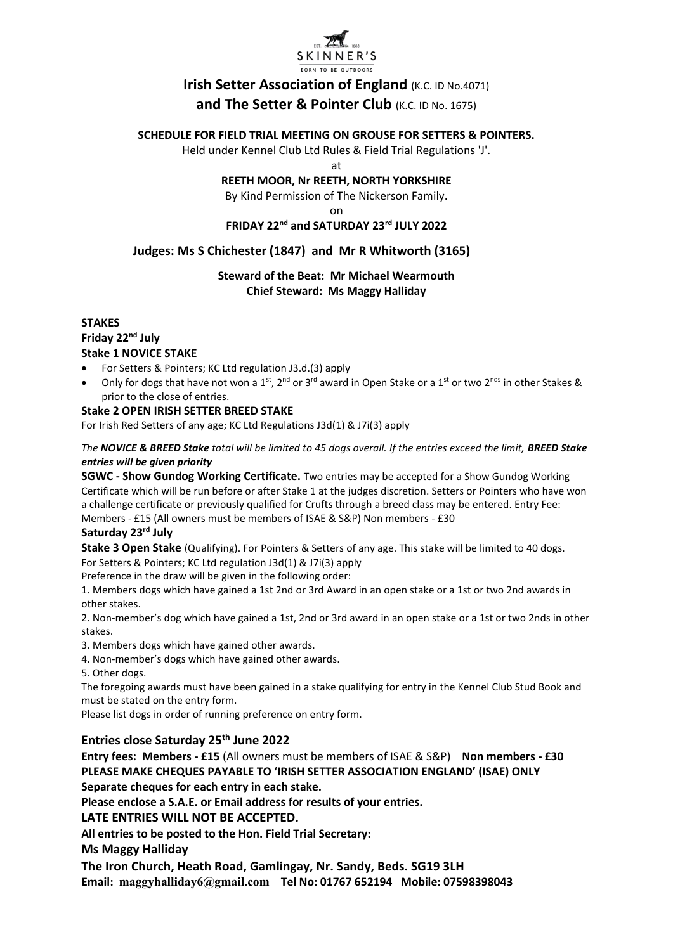

# **Irish Setter Association of England (K.C. ID No.4071) and The Setter & Pointer Club** (K.C. ID No. 1675)

#### **SCHEDULE FOR FIELD TRIAL MEETING ON GROUSE FOR SETTERS & POINTERS.**

Held under Kennel Club Ltd Rules & Field Trial Regulations 'J'.

at

#### **REETH MOOR, Nr REETH, NORTH YORKSHIRE**

By Kind Permission of The Nickerson Family.

on

## **FRIDAY 22nd and SATURDAY 23rd JULY 2022**

## **Judges: Ms S Chichester (1847) and Mr R Whitworth (3165)**

#### **Steward of the Beat: Mr Michael Wearmouth Chief Steward: Ms Maggy Halliday**

#### **STAKES Friday 22nd July Stake 1 NOVICE STAKE**

- For Setters & Pointers; KC Ltd regulation J3.d.(3) apply
- Only for dogs that have not won a 1<sup>st</sup>, 2<sup>nd</sup> or 3<sup>rd</sup> award in Open Stake or a 1<sup>st</sup> or two 2<sup>nds</sup> in other Stakes & prior to the close of entries.

#### **Stake 2 OPEN IRISH SETTER BREED STAKE**

For Irish Red Setters of any age; KC Ltd Regulations J3d(1) & J7i(3) apply

*The NOVICE & BREED Stake total will be limited to 45 dogs overall. If the entries exceed the limit, BREED Stake entries will be given priority*

**SGWC - Show Gundog Working Certificate.** Two entries may be accepted for a Show Gundog Working Certificate which will be run before or after Stake 1 at the judges discretion. Setters or Pointers who have won a challenge certificate or previously qualified for Crufts through a breed class may be entered. Entry Fee:

Members - £15 (All owners must be members of ISAE & S&P) Non members - £30

#### **Saturday 23rd July**

**Stake 3 Open Stake** (Qualifying). For Pointers & Setters of any age. This stake will be limited to 40 dogs. For Setters & Pointers; KC Ltd regulation J3d(1) & J7i(3) apply

Preference in the draw will be given in the following order:

1. Members dogs which have gained a 1st 2nd or 3rd Award in an open stake or a 1st or two 2nd awards in other stakes.

2. Non-member's dog which have gained a 1st, 2nd or 3rd award in an open stake or a 1st or two 2nds in other stakes.

3. Members dogs which have gained other awards.

- 4. Non-member's dogs which have gained other awards.
- 5. Other dogs.

The foregoing awards must have been gained in a stake qualifying for entry in the Kennel Club Stud Book and must be stated on the entry form.

Please list dogs in order of running preference on entry form.

## **Entries close Saturday 25th June 2022**

**Entry fees: Members - £15** (All owners must be members of ISAE & S&P) **Non members - £30 PLEASE MAKE CHEQUES PAYABLE TO 'IRISH SETTER ASSOCIATION ENGLAND' (ISAE) ONLY Separate cheques for each entry in each stake.**

**Please enclose a S.A.E. or Email address for results of your entries.**

## **LATE ENTRIES WILL NOT BE ACCEPTED.**

**All entries to be posted to the Hon. Field Trial Secretary:**

**Ms Maggy Halliday**

**The Iron Church, Heath Road, Gamlingay, Nr. Sandy, Beds. SG19 3LH Email: [maggyhalliday6@gmail.com](mailto:maggyhalliday6@gmail.com) Tel No: 01767 652194 Mobile: 07598398043**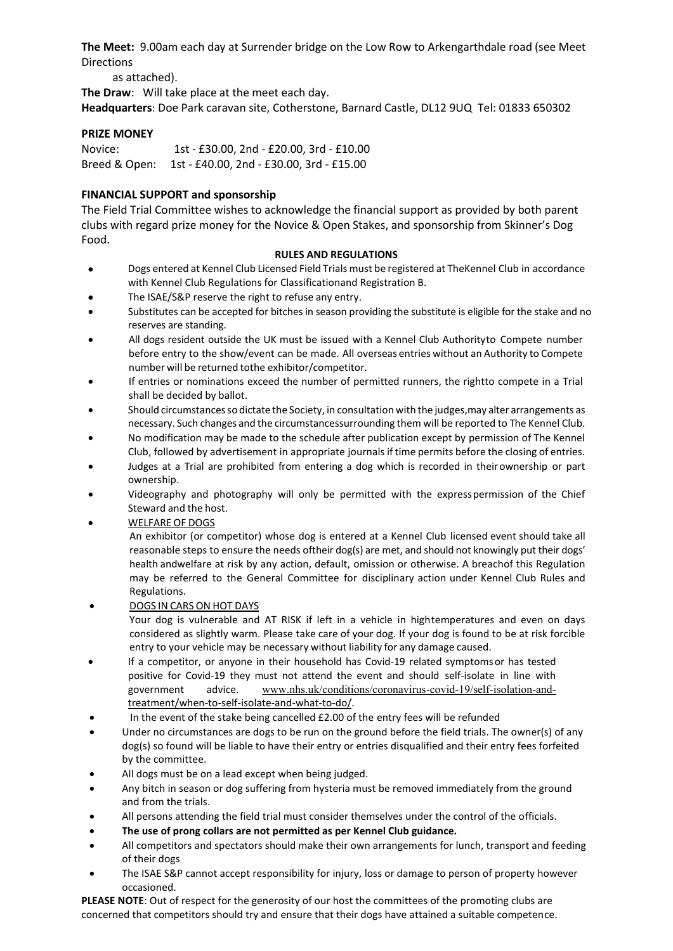**The Meet:** 9.00am each day at Surrender bridge on the Low Row to Arkengarthdale road (see Meet Directions

as attached).

**The Draw**: Will take place at the meet each day.

**Headquarters**: Doe Park caravan site, Cotherstone, Barnard Castle, DL12 9UQ Tel: 01833 650302

#### **PRIZE MONEY**

Novice: 1st - £30.00, 2nd - £20.00, 3rd - £10.00 Breed & Open: 1st - £40.00, 2nd - £30.00, 3rd - £15.00

#### **FINANCIAL SUPPORT and sponsorship**

The Field Trial Committee wishes to acknowledge the financial support as provided by both parent clubs with regard prize money for the Novice & Open Stakes, and sponsorship from Skinner's Dog Food.

#### **RULES AND REGULATIONS**

- Dogs entered at Kennel Club Licensed Field Trials must be registered at TheKennel Club in accordance with Kennel Club Regulations for Classificationand Registration B.
- The ISAE/S&P reserve the right to refuse any entry.
- Substitutes can be accepted for bitches in season providing the substitute is eligible for the stake and no reserves are standing.
- All dogs resident outside the UK must be issued with a Kennel Club Authorityto Compete number before entry to the show/event can be made. All overseas entries without an Authority to Compete number will be returned tothe exhibitor/competitor.
- If entries or nominations exceed the number of permitted runners, the rightto compete in a Trial shall be decided by ballot.
- Should circumstancesso dictate the Society, in consultation with the judges,may alter arrangements as necessary. Such changes and the circumstancessurrounding them will be reported to The Kennel Club.
- No modification may be made to the schedule after publication except by permission of The Kennel Club, followed by advertisement in appropriate journalsif time permits before the closing of entries.
- Judges at a Trial are prohibited from entering a dog which is recorded in theirownership or part ownership.
- Videography and photography will only be permitted with the expresspermission of the Chief Steward and the host.
- WELFARE OF DOGS

An exhibitor (or competitor) whose dog is entered at a Kennel Club licensed event should take all reasonable steps to ensure the needs oftheir dog(s) are met, and should not knowingly put their dogs' health andwelfare at risk by any action, default, omission or otherwise. A breachof this Regulation may be referred to the General Committee for disciplinary action under Kennel Club Rules and Regulations.

• DOGS IN CARS ON HOT DAYS

Your dog is vulnerable and AT RISK if left in a vehicle in hightemperatures and even on days considered as slightly warm. Please take care of your dog. If your dog is found to be at risk forcible entry to your vehicle may be necessary without liability for any damage caused.

- If a competitor, or anyone in their household has Covid-19 related symptomsor has tested positive for Covid-19 they must not attend the event and should self-isolate in line with government advice. [www.nhs.uk/conditions/coronavirus-covid-19/self-isolation-and](http://www.nhs.uk/conditions/coronavirus-covid-19/self-isolation-and-)treatment/when-to-self-isolate-and-what-to-do/.
- In the event of the stake being cancelled £2.00 of the entry fees will be refunded
- Under no circumstances are dogs to be run on the ground before the field trials. The owner(s) of any dog(s) so found will be liable to have their entry or entries disqualified and their entry fees forfeited by the committee.
- All dogs must be on a lead except when being judged.
- Any bitch in season or dog suffering from hysteria must be removed immediately from the ground and from the trials.
- All persons attending the field trial must consider themselves under the control of the officials.
- **The use of prong collars are not permitted as per Kennel Club guidance.**
- All competitors and spectators should make their own arrangements for lunch, transport and feeding of their dogs
- The ISAE S&P cannot accept responsibility for injury, loss or damage to person of property however occasioned.

**PLEASE NOTE**: Out of respect for the generosity of our host the committees of the promoting clubs are concerned that competitors should try and ensure that their dogs have attained a suitable competence.